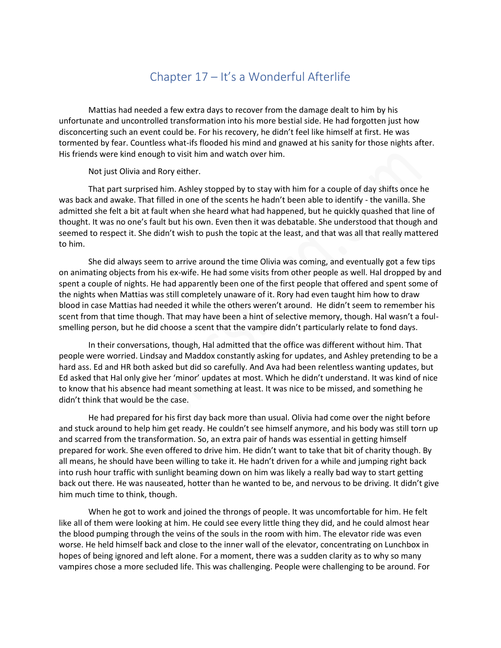## Chapter 17 – It's a Wonderful Afterlife

Mattias had needed a few extra days to recover from the damage dealt to him by his unfortunate and uncontrolled transformation into his more bestial side. He had forgotten just how disconcerting such an event could be. For his recovery, he didn't feel like himself at first. He was tormented by fear. Countless what-ifs flooded his mind and gnawed at his sanity for those nights after. His friends were kind enough to visit him and watch over him.

Not just Olivia and Rory either.

That part surprised him. Ashley stopped by to stay with him for a couple of day shifts once he was back and awake. That filled in one of the scents he hadn't been able to identify - the vanilla. She admitted she felt a bit at fault when she heard what had happened, but he quickly quashed that line of thought. It was no one's fault but his own. Even then it was debatable. She understood that though and seemed to respect it. She didn't wish to push the topic at the least, and that was all that really mattered to him.

She did always seem to arrive around the time Olivia was coming, and eventually got a few tips on animating objects from his ex-wife. He had some visits from other people as well. Hal dropped by and spent a couple of nights. He had apparently been one of the first people that offered and spent some of the nights when Mattias was still completely unaware of it. Rory had even taught him how to draw blood in case Mattias had needed it while the others weren't around. He didn't seem to remember his scent from that time though. That may have been a hint of selective memory, though. Hal wasn't a foulsmelling person, but he did choose a scent that the vampire didn't particularly relate to fond days.

In their conversations, though, Hal admitted that the office was different without him. That people were worried. Lindsay and Maddox constantly asking for updates, and Ashley pretending to be a hard ass. Ed and HR both asked but did so carefully. And Ava had been relentless wanting updates, but Ed asked that Hal only give her 'minor' updates at most. Which he didn't understand. It was kind of nice to know that his absence had meant something at least. It was nice to be missed, and something he didn't think that would be the case.

He had prepared for his first day back more than usual. Olivia had come over the night before and stuck around to help him get ready. He couldn't see himself anymore, and his body was still torn up and scarred from the transformation. So, an extra pair of hands was essential in getting himself prepared for work. She even offered to drive him. He didn't want to take that bit of charity though. By all means, he should have been willing to take it. He hadn't driven for a while and jumping right back into rush hour traffic with sunlight beaming down on him was likely a really bad way to start getting back out there. He was nauseated, hotter than he wanted to be, and nervous to be driving. It didn't give him much time to think, though.

When he got to work and joined the throngs of people. It was uncomfortable for him. He felt like all of them were looking at him. He could see every little thing they did, and he could almost hear the blood pumping through the veins of the souls in the room with him. The elevator ride was even worse. He held himself back and close to the inner wall of the elevator, concentrating on Lunchbox in hopes of being ignored and left alone. For a moment, there was a sudden clarity as to why so many vampires chose a more secluded life. This was challenging. People were challenging to be around. For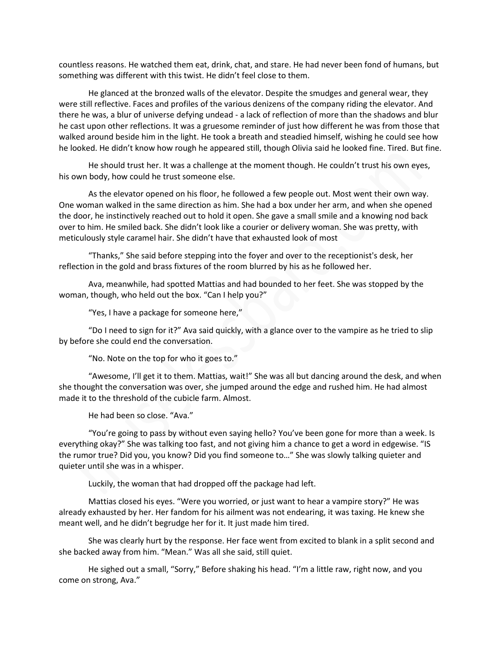countless reasons. He watched them eat, drink, chat, and stare. He had never been fond of humans, but something was different with this twist. He didn't feel close to them.

He glanced at the bronzed walls of the elevator. Despite the smudges and general wear, they were still reflective. Faces and profiles of the various denizens of the company riding the elevator. And there he was, a blur of universe defying undead - a lack of reflection of more than the shadows and blur he cast upon other reflections. It was a gruesome reminder of just how different he was from those that walked around beside him in the light. He took a breath and steadied himself, wishing he could see how he looked. He didn't know how rough he appeared still, though Olivia said he looked fine. Tired. But fine.

He should trust her. It was a challenge at the moment though. He couldn't trust his own eyes, his own body, how could he trust someone else.

As the elevator opened on his floor, he followed a few people out. Most went their own way. One woman walked in the same direction as him. She had a box under her arm, and when she opened the door, he instinctively reached out to hold it open. She gave a small smile and a knowing nod back over to him. He smiled back. She didn't look like a courier or delivery woman. She was pretty, with meticulously style caramel hair. She didn't have that exhausted look of most

"Thanks," She said before stepping into the foyer and over to the receptionist's desk, her reflection in the gold and brass fixtures of the room blurred by his as he followed her.

Ava, meanwhile, had spotted Mattias and had bounded to her feet. She was stopped by the woman, though, who held out the box. "Can I help you?"

"Yes, I have a package for someone here,"

"Do I need to sign for it?" Ava said quickly, with a glance over to the vampire as he tried to slip by before she could end the conversation.

"No. Note on the top for who it goes to."

"Awesome, I'll get it to them. Mattias, wait!" She was all but dancing around the desk, and when she thought the conversation was over, she jumped around the edge and rushed him. He had almost made it to the threshold of the cubicle farm. Almost.

He had been so close. "Ava."

"You're going to pass by without even saying hello? You've been gone for more than a week. Is everything okay?" She was talking too fast, and not giving him a chance to get a word in edgewise. "IS the rumor true? Did you, you know? Did you find someone to…" She was slowly talking quieter and quieter until she was in a whisper.

Luckily, the woman that had dropped off the package had left.

Mattias closed his eyes. "Were you worried, or just want to hear a vampire story?" He was already exhausted by her. Her fandom for his ailment was not endearing, it was taxing. He knew she meant well, and he didn't begrudge her for it. It just made him tired.

She was clearly hurt by the response. Her face went from excited to blank in a split second and she backed away from him. "Mean." Was all she said, still quiet.

He sighed out a small, "Sorry," Before shaking his head. "I'm a little raw, right now, and you come on strong, Ava."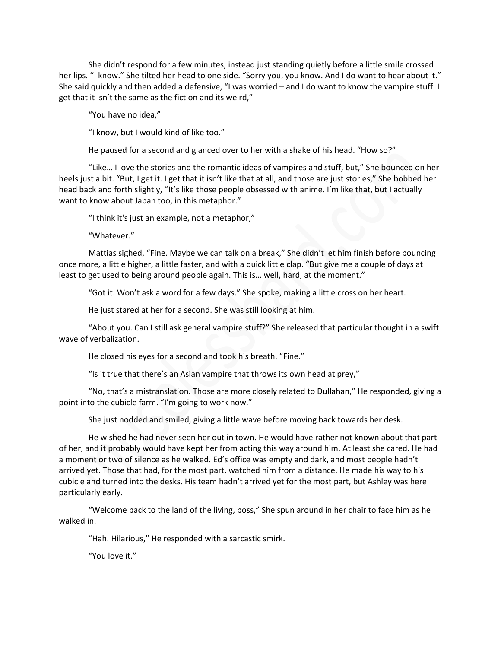She didn't respond for a few minutes, instead just standing quietly before a little smile crossed her lips. "I know." She tilted her head to one side. "Sorry you, you know. And I do want to hear about it." She said quickly and then added a defensive, "I was worried – and I do want to know the vampire stuff. I get that it isn't the same as the fiction and its weird,"

"You have no idea,"

"I know, but I would kind of like too."

He paused for a second and glanced over to her with a shake of his head. "How so?"

"Like… I love the stories and the romantic ideas of vampires and stuff, but," She bounced on her heels just a bit. "But, I get it. I get that it isn't like that at all, and those are just stories," She bobbed her head back and forth slightly, "It's like those people obsessed with anime. I'm like that, but I actually want to know about Japan too, in this metaphor."

"I think it's just an example, not a metaphor,"

"Whatever."

Mattias sighed, "Fine. Maybe we can talk on a break," She didn't let him finish before bouncing once more, a little higher, a little faster, and with a quick little clap. "But give me a couple of days at least to get used to being around people again. This is… well, hard, at the moment."

"Got it. Won't ask a word for a few days." She spoke, making a little cross on her heart.

He just stared at her for a second. She was still looking at him.

"About you. Can I still ask general vampire stuff?" She released that particular thought in a swift wave of verbalization.

He closed his eyes for a second and took his breath. "Fine."

"Is it true that there's an Asian vampire that throws its own head at prey,"

"No, that's a mistranslation. Those are more closely related to Dullahan," He responded, giving a point into the cubicle farm. "I'm going to work now."

She just nodded and smiled, giving a little wave before moving back towards her desk.

He wished he had never seen her out in town. He would have rather not known about that part of her, and it probably would have kept her from acting this way around him. At least she cared. He had a moment or two of silence as he walked. Ed's office was empty and dark, and most people hadn't arrived yet. Those that had, for the most part, watched him from a distance. He made his way to his cubicle and turned into the desks. His team hadn't arrived yet for the most part, but Ashley was here particularly early.

"Welcome back to the land of the living, boss," She spun around in her chair to face him as he walked in.

"Hah. Hilarious," He responded with a sarcastic smirk.

"You love it."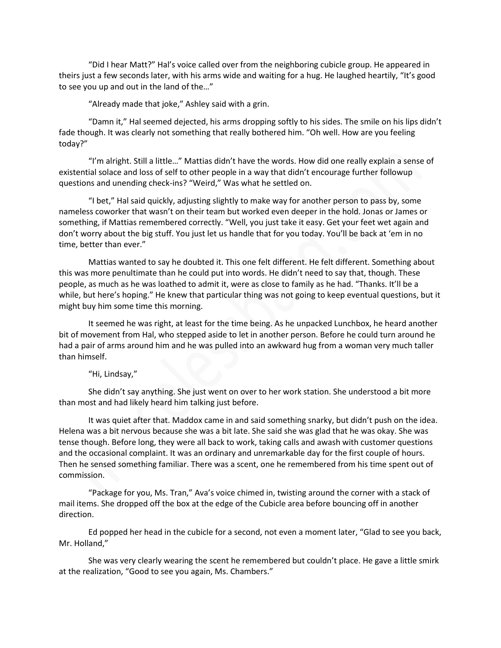"Did I hear Matt?" Hal's voice called over from the neighboring cubicle group. He appeared in theirs just a few seconds later, with his arms wide and waiting for a hug. He laughed heartily, "It's good to see you up and out in the land of the…"

"Already made that joke," Ashley said with a grin.

"Damn it," Hal seemed dejected, his arms dropping softly to his sides. The smile on his lips didn't fade though. It was clearly not something that really bothered him. "Oh well. How are you feeling today?"

"I'm alright. Still a little…" Mattias didn't have the words. How did one really explain a sense of existential solace and loss of self to other people in a way that didn't encourage further followup questions and unending check-ins? "Weird," Was what he settled on.

"I bet," Hal said quickly, adjusting slightly to make way for another person to pass by, some nameless coworker that wasn't on their team but worked even deeper in the hold. Jonas or James or something, if Mattias remembered correctly. "Well, you just take it easy. Get your feet wet again and don't worry about the big stuff. You just let us handle that for you today. You'll be back at 'em in no time, better than ever."

Mattias wanted to say he doubted it. This one felt different. He felt different. Something about this was more penultimate than he could put into words. He didn't need to say that, though. These people, as much as he was loathed to admit it, were as close to family as he had. "Thanks. It'll be a while, but here's hoping." He knew that particular thing was not going to keep eventual questions, but it might buy him some time this morning.

It seemed he was right, at least for the time being. As he unpacked Lunchbox, he heard another bit of movement from Hal, who stepped aside to let in another person. Before he could turn around he had a pair of arms around him and he was pulled into an awkward hug from a woman very much taller than himself.

"Hi, Lindsay,"

She didn't say anything. She just went on over to her work station. She understood a bit more than most and had likely heard him talking just before.

It was quiet after that. Maddox came in and said something snarky, but didn't push on the idea. Helena was a bit nervous because she was a bit late. She said she was glad that he was okay. She was tense though. Before long, they were all back to work, taking calls and awash with customer questions and the occasional complaint. It was an ordinary and unremarkable day for the first couple of hours. Then he sensed something familiar. There was a scent, one he remembered from his time spent out of commission.

"Package for you, Ms. Tran," Ava's voice chimed in, twisting around the corner with a stack of mail items. She dropped off the box at the edge of the Cubicle area before bouncing off in another direction.

Ed popped her head in the cubicle for a second, not even a moment later, "Glad to see you back, Mr. Holland,"

She was very clearly wearing the scent he remembered but couldn't place. He gave a little smirk at the realization, "Good to see you again, Ms. Chambers."